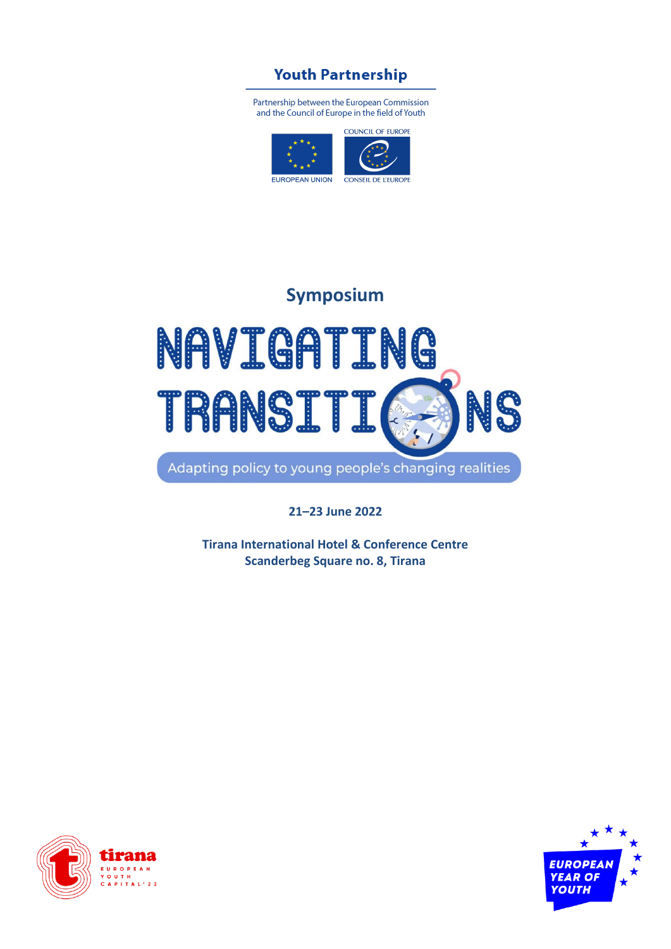## **Youth Partnership**

Partnership between the European Commission and the Council of Europe in the field of Youth



## **Symposium**

## NAVIGATING **TRANSI** NC Adapting policy to young people's changing realities

**21–23 June 2022**

**Tirana International Hotel & Conference Centre Scanderbeg Square no. 8, Tirana**



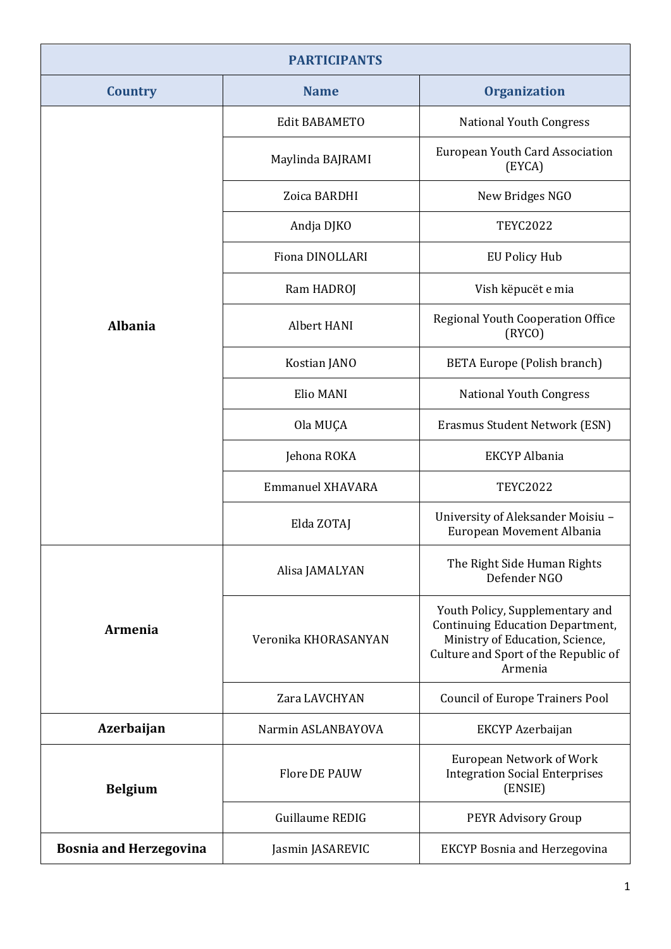| <b>PARTICIPANTS</b>           |                         |                                                                                                                                                                  |
|-------------------------------|-------------------------|------------------------------------------------------------------------------------------------------------------------------------------------------------------|
| <b>Country</b>                | <b>Name</b>             | <b>Organization</b>                                                                                                                                              |
|                               | <b>Edit BABAMETO</b>    | National Youth Congress                                                                                                                                          |
|                               | Maylinda BAJRAMI        | European Youth Card Association<br>(EYCA)                                                                                                                        |
|                               | Zoica BARDHI            | New Bridges NGO                                                                                                                                                  |
|                               | Andja DJKO              | <b>TEYC2022</b>                                                                                                                                                  |
|                               | <b>Fiona DINOLLARI</b>  | <b>EU Policy Hub</b>                                                                                                                                             |
|                               | Ram HADROJ              | Vish këpucët e mia                                                                                                                                               |
| <b>Albania</b>                | Albert HANI             | Regional Youth Cooperation Office<br>(RYCO)                                                                                                                      |
|                               | Kostian JANO            | <b>BETA Europe (Polish branch)</b>                                                                                                                               |
|                               | Elio MANI               | <b>National Youth Congress</b>                                                                                                                                   |
|                               | Ola MUÇA                | Erasmus Student Network (ESN)                                                                                                                                    |
|                               | Jehona ROKA             | <b>EKCYP</b> Albania                                                                                                                                             |
|                               | <b>Emmanuel XHAVARA</b> | <b>TEYC2022</b>                                                                                                                                                  |
|                               | Elda ZOTAJ              | University of Aleksander Moisiu -<br>European Movement Albania                                                                                                   |
|                               | Alisa JAMALYAN          | The Right Side Human Rights<br>Defender NGO                                                                                                                      |
| <b>Armenia</b>                | Veronika KHORASANYAN    | Youth Policy, Supplementary and<br><b>Continuing Education Department,</b><br>Ministry of Education, Science,<br>Culture and Sport of the Republic of<br>Armenia |
|                               | Zara LAVCHYAN           | <b>Council of Europe Trainers Pool</b>                                                                                                                           |
| Azerbaijan                    | Narmin ASLANBAYOVA      | EKCYP Azerbaijan                                                                                                                                                 |
| <b>Belgium</b>                | Flore DE PAUW           | <b>European Network of Work</b><br><b>Integration Social Enterprises</b><br>(ENSIE)                                                                              |
|                               | Guillaume REDIG         | PEYR Advisory Group                                                                                                                                              |
| <b>Bosnia and Herzegovina</b> | Jasmin JASAREVIC        | <b>EKCYP Bosnia and Herzegovina</b>                                                                                                                              |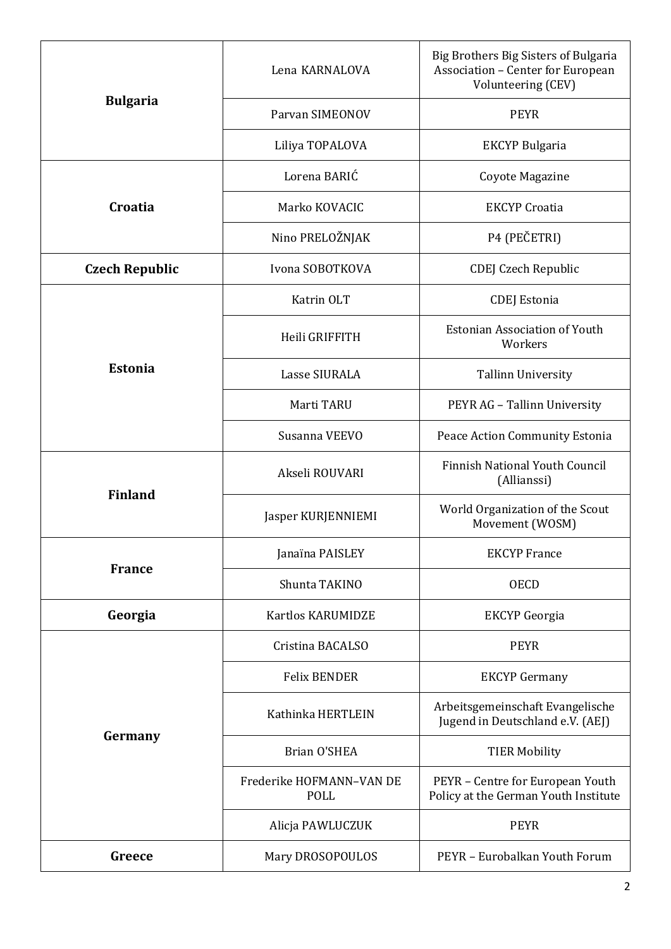|                       | Lena KARNALOVA                   | Big Brothers Big Sisters of Bulgaria<br>Association - Center for European<br>Volunteering (CEV) |
|-----------------------|----------------------------------|-------------------------------------------------------------------------------------------------|
| <b>Bulgaria</b>       | Parvan SIMEONOV                  | <b>PEYR</b>                                                                                     |
|                       | Liliya TOPALOVA                  | <b>EKCYP Bulgaria</b>                                                                           |
| Croatia               | Lorena BARIĆ                     | Coyote Magazine                                                                                 |
|                       | Marko KOVACIC                    | <b>EKCYP</b> Croatia                                                                            |
|                       | Nino PRELOŽNJAK                  | P4 (PEČETRI)                                                                                    |
| <b>Czech Republic</b> | Ivona SOBOTKOVA                  | <b>CDEJ Czech Republic</b>                                                                      |
|                       | Katrin OLT                       | <b>CDEJ</b> Estonia                                                                             |
| <b>Estonia</b>        | Heili GRIFFITH                   | <b>Estonian Association of Youth</b><br>Workers                                                 |
|                       | Lasse SIURALA                    | <b>Tallinn University</b>                                                                       |
|                       | Marti TARU                       | PEYR AG - Tallinn University                                                                    |
|                       | Susanna VEEVO                    | Peace Action Community Estonia                                                                  |
| <b>Finland</b>        | Akseli ROUVARI                   | <b>Finnish National Youth Council</b><br>(Allianssi)                                            |
|                       | Jasper KURJENNIEMI               | World Organization of the Scout<br>Movement (WOSM)                                              |
|                       | Janaïna PAISLEY                  | <b>EKCYP</b> France                                                                             |
| <b>France</b>         | Shunta TAKINO                    | <b>OECD</b>                                                                                     |
| Georgia               | Kartlos KARUMIDZE                | <b>EKCYP</b> Georgia                                                                            |
|                       | Cristina BACALSO                 | <b>PEYR</b>                                                                                     |
| Germany               | <b>Felix BENDER</b>              | <b>EKCYP</b> Germany                                                                            |
|                       | Kathinka HERTLEIN                | Arbeitsgemeinschaft Evangelische<br>Jugend in Deutschland e.V. (AEJ)                            |
|                       | Brian O'SHEA                     | <b>TIER Mobility</b>                                                                            |
|                       | Frederike HOFMANN-VAN DE<br>POLL | PEYR - Centre for European Youth<br>Policy at the German Youth Institute                        |
|                       | Alicja PAWLUCZUK                 | <b>PEYR</b>                                                                                     |
| Greece                | Mary DROSOPOULOS                 | PEYR - Eurobalkan Youth Forum                                                                   |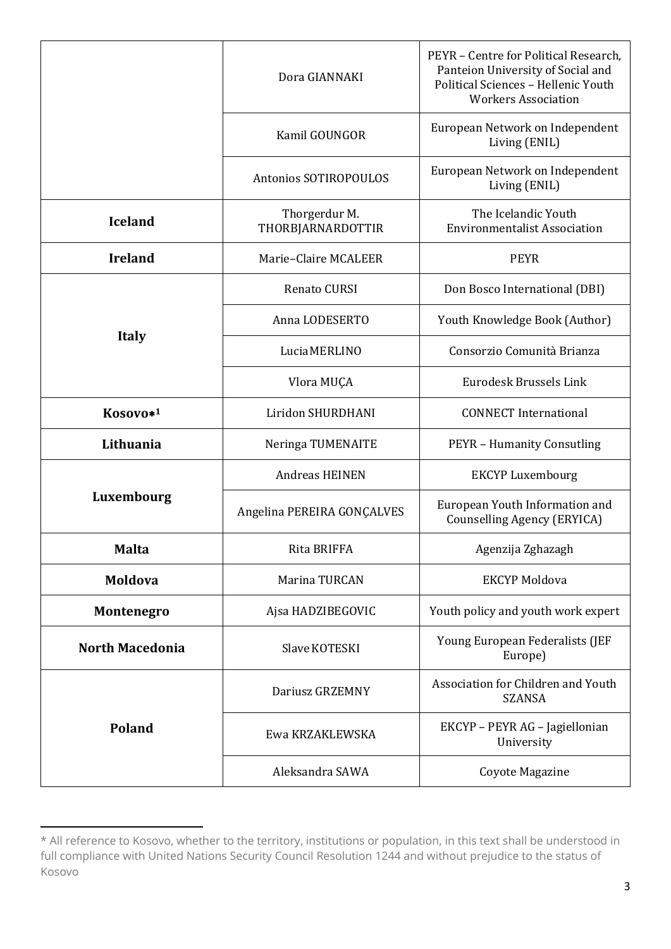|                        | Dora GIANNAKI                      | PEYR - Centre for Political Research,<br>Panteion University of Social and<br>Political Sciences - Hellenic Youth<br><b>Workers Association</b> |
|------------------------|------------------------------------|-------------------------------------------------------------------------------------------------------------------------------------------------|
|                        | Kamil GOUNGOR                      | European Network on Independent<br>Living (ENIL)                                                                                                |
|                        | Antonios SOTIROPOULOS              | European Network on Independent<br>Living (ENIL)                                                                                                |
| <b>Iceland</b>         | Thorgerdur M.<br>THORBJARNARDOTTIR | The Icelandic Youth<br><b>Environmentalist Association</b>                                                                                      |
| <b>Ireland</b>         | Marie-Claire MCALEER               | <b>PEYR</b>                                                                                                                                     |
|                        | Renato CURSI                       | Don Bosco International (DBI)                                                                                                                   |
|                        | Anna LODESERTO                     | Youth Knowledge Book (Author)                                                                                                                   |
| <b>Italy</b>           | Lucia MERLINO                      | Consorzio Comunità Brianza                                                                                                                      |
|                        | Vlora MUÇA                         | Eurodesk Brussels Link                                                                                                                          |
| Kosovo* <sup>1</sup>   | Liridon SHURDHANI                  | <b>CONNECT</b> International                                                                                                                    |
| Lithuania              | Neringa TUMENAITE                  | <b>PEYR - Humanity Consutling</b>                                                                                                               |
|                        | <b>Andreas HEINEN</b>              | <b>EKCYP Luxembourg</b>                                                                                                                         |
| Luxembourg             | Angelina PEREIRA GONÇALVES         | European Youth Information and<br>Counselling Agency (ERYICA)                                                                                   |
| <b>Malta</b>           | Rita BRIFFA                        | Agenzija Zghazagh                                                                                                                               |
| Moldova                | Marina TURCAN                      | <b>EKCYP Moldova</b>                                                                                                                            |
| <b>Montenegro</b>      | Ajsa HADZIBEGOVIC                  | Youth policy and youth work expert                                                                                                              |
| <b>North Macedonia</b> | Slave KOTESKI                      | Young European Federalists (JEF<br>Europe)                                                                                                      |
|                        | Dariusz GRZEMNY                    | Association for Children and Youth<br><b>SZANSA</b>                                                                                             |
| <b>Poland</b>          | Ewa KRZAKLEWSKA                    | EKCYP - PEYR AG - Jagiellonian<br>University                                                                                                    |
| Aleksandra SAWA        |                                    | Coyote Magazine                                                                                                                                 |

<sup>\*</sup> All reference to Kosovo, whether to the territory, institutions or population, in this text shall be understood in full compliance with United Nations Security Council Resolution 1244 and without prejudice to the status of Kosovo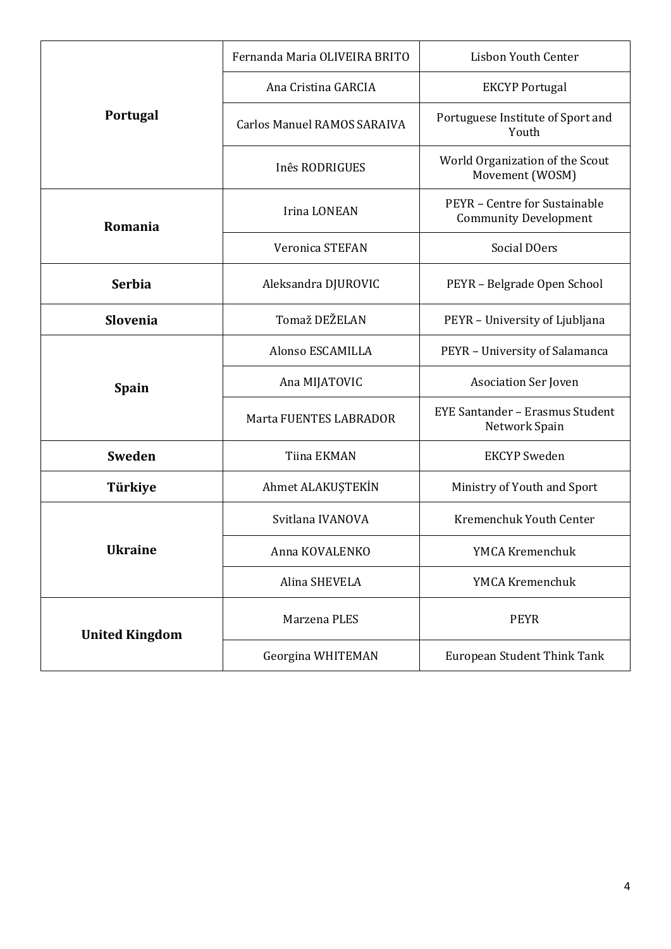|                       | Fernanda Maria OLIVEIRA BRITO      | <b>Lisbon Youth Center</b>                                    |
|-----------------------|------------------------------------|---------------------------------------------------------------|
| Portugal              | Ana Cristina GARCIA                | <b>EKCYP Portugal</b>                                         |
|                       | <b>Carlos Manuel RAMOS SARAIVA</b> | Portuguese Institute of Sport and<br>Youth                    |
|                       | Inês RODRIGUES                     | World Organization of the Scout<br>Movement (WOSM)            |
| Romania               | <b>Irina LONEAN</b>                | PEYR - Centre for Sustainable<br><b>Community Development</b> |
|                       | <b>Veronica STEFAN</b>             | Social DOers                                                  |
| <b>Serbia</b>         | Aleksandra DJUROVIC                | PEYR - Belgrade Open School                                   |
| <b>Slovenia</b>       | Tomaž DEŽELAN                      | PEYR - University of Ljubljana                                |
| <b>Spain</b>          | Alonso ESCAMILLA                   | PEYR - University of Salamanca                                |
|                       | Ana MIJATOVIC                      | Asociation Ser Joven                                          |
|                       | Marta FUENTES LABRADOR             | <b>EYE Santander - Erasmus Student</b><br>Network Spain       |
| Sweden                | Tiina EKMAN                        | <b>EKCYP</b> Sweden                                           |
| Türkiye               | Ahmet ALAKUŞTEKİN                  | Ministry of Youth and Sport                                   |
|                       | Svitlana IVANOVA                   | Kremenchuk Youth Center                                       |
| <b>Ukraine</b>        | Anna KOVALENKO                     | YMCA Kremenchuk                                               |
|                       | Alina SHEVELA                      | YMCA Kremenchuk                                               |
| <b>United Kingdom</b> | Marzena PLES                       | <b>PEYR</b>                                                   |
|                       | Georgina WHITEMAN                  | European Student Think Tank                                   |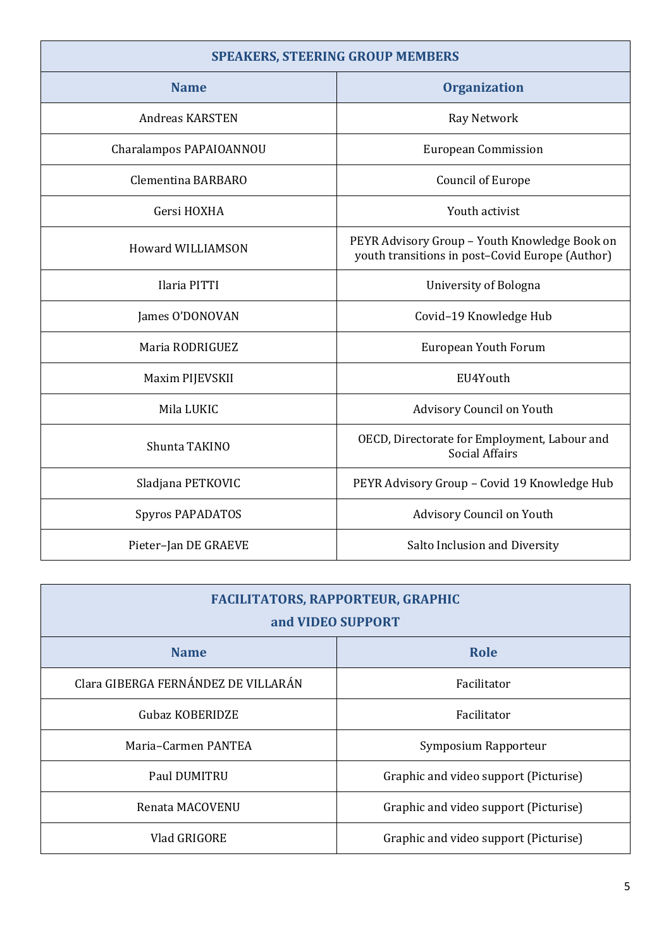| <b>SPEAKERS, STEERING GROUP MEMBERS</b> |                                                                                                  |
|-----------------------------------------|--------------------------------------------------------------------------------------------------|
| <b>Name</b>                             | <b>Organization</b>                                                                              |
| <b>Andreas KARSTEN</b>                  | Ray Network                                                                                      |
| Charalampos PAPAIOANNOU                 | <b>European Commission</b>                                                                       |
| Clementina BARBARO                      | <b>Council of Europe</b>                                                                         |
| Gersi HOXHA                             | Youth activist                                                                                   |
| <b>Howard WILLIAMSON</b>                | PEYR Advisory Group - Youth Knowledge Book on<br>youth transitions in post-Covid Europe (Author) |
| Ilaria PITTI                            | University of Bologna                                                                            |
| James O'DONOVAN                         | Covid-19 Knowledge Hub                                                                           |
| Maria RODRIGUEZ                         | European Youth Forum                                                                             |
| Maxim PIJEVSKII                         | EU4Youth                                                                                         |
| Mila LUKIC                              | Advisory Council on Youth                                                                        |
| Shunta TAKINO                           | OECD, Directorate for Employment, Labour and<br><b>Social Affairs</b>                            |
| Sladjana PETKOVIC                       | PEYR Advisory Group - Covid 19 Knowledge Hub                                                     |
| Spyros PAPADATOS                        | Advisory Council on Youth                                                                        |
| Pieter-Jan DE GRAEVE                    | Salto Inclusion and Diversity                                                                    |

| <b>FACILITATORS, RAPPORTEUR, GRAPHIC</b><br>and VIDEO SUPPORT |                                       |  |
|---------------------------------------------------------------|---------------------------------------|--|
| <b>Name</b>                                                   | <b>Role</b>                           |  |
| Clara GIBERGA FERNÁNDEZ DE VILLARÁN                           | Facilitator                           |  |
| Gubaz KOBERIDZE                                               | Facilitator                           |  |
| Maria-Carmen PANTEA                                           | Symposium Rapporteur                  |  |
| Paul DUMITRU                                                  | Graphic and video support (Picturise) |  |
| Renata MACOVENU                                               | Graphic and video support (Picturise) |  |
| Vlad GRIGORE                                                  | Graphic and video support (Picturise) |  |